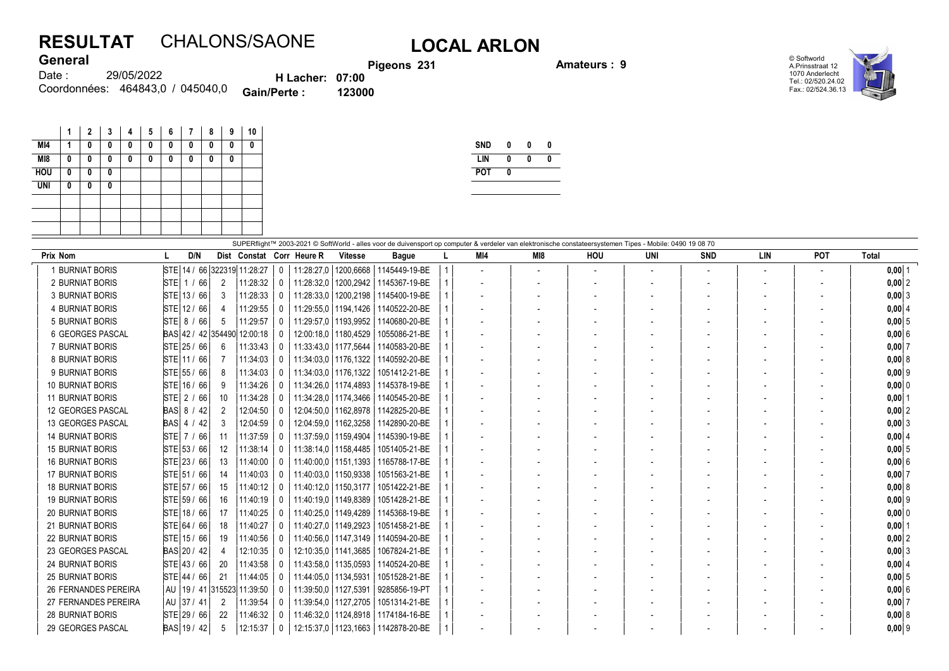## RESULTAT CHALONS/SAONE LOCAL ARLON

Pigeons 231 **Amateurs : 9** 

© Softworld A.Prinsstraat 12 1070 Anderlecht Tel.: 02/520.24.02 Fax.: 02/524.36.13



29/05/2022 Coordonnées: 464843,0 / 045040,0 **Gain/Perte : 123000** Date : **General** H Lacher: 07:00

|            | 1 | $\mathbf{2}$ | 3 | 4 | 5 | 6 | 7 | 8 | 9 | 10 |
|------------|---|--------------|---|---|---|---|---|---|---|----|
| MI4        | 1 | 0            | 0 | 0 | 0 | 0 | 0 | 0 | 0 | 0  |
| MI8        | 0 | 0            | 0 | 0 | 0 | 0 | 0 | 0 | 0 |    |
| <b>HOU</b> | 0 | 0            | 0 |   |   |   |   |   |   |    |
| <b>UNI</b> | 0 | 0            | 0 |   |   |   |   |   |   |    |
|            |   |              |   |   |   |   |   |   |   |    |
|            |   |              |   |   |   |   |   |   |   |    |
|            |   |              |   |   |   |   |   |   |   |    |

| <b>SND</b> | 0 | 0 | Λ |
|------------|---|---|---|
| LIN        | Λ | Λ | Λ |
| <b>POT</b> | Λ |   |   |
|            |   |   |   |

| SUPERflight™ 2003-2021 © SoftWorld - alles voor de duivensport op computer & verdeler van elektronische constateersystemen Tipes - Mobile: 0490 19 08 70<br>POT<br>D/N<br>M18<br><b>LIN</b><br><b>Total</b><br><b>Prix Nom</b><br>Dist Constat Corr Heure R<br>MI4<br>HOU<br>UNI<br><b>SND</b><br><b>Vitesse</b><br><b>Bague</b><br>1 BURNIAT BORIS<br>STE 14 / 66 322319 11:28:27<br>11:28:27.0   1200.6668   1145449-19-BE<br>$0,00$ 1<br>0<br>$\overline{\phantom{a}}$<br>STE 1 / 66<br>2 BURNIAT BORIS<br>2<br>11:28:32<br>$0,00$ 2<br>11:28:32,0   1200,2942  <br>1145367-19-BE<br>0<br>STE 13 / 66<br>3<br>11:28:33<br>3 BURNIAT BORIS<br>11:28:33,0   1200,2198  <br>1145400-19-BE<br>$0,00$ 3<br>0<br>$\overline{\phantom{a}}$<br>STE 12 / 66<br>4 BURNIAT BORIS<br>11:29:55<br>11:29:55,0   1194,1426  <br>1140522-20-BE<br>$0,00$ 4<br>0<br>$STE$ 8 / 66<br>11:29:57<br>5 BURNIAT BORIS<br>│ 11:29:57.0 │1193.9952 │ 1140680-20-BE<br>$0,00$ 5<br>5<br>$\mathbf{0}$<br>BAS 42 / 42 354490 12:00:18<br>12:00:18.0   1180.4529<br>1055086-21-BE<br>6 GEORGES PASCAL<br>$0,00$ 6<br><sup>0</sup><br>7 BURNIAT BORIS<br>STE 25 / 66<br>6<br>11:33:43<br>11:33:43.0   1177.5644   1140583-20-BE<br>$0,00$ 7<br>0<br>8 BURNIAT BORIS<br>STE 11 / 66<br>11:34:03<br>11:34:03.0   1176.1322   1140592-20-BE<br>0,008<br>$\mathbf{0}$<br>STE 55 / 66<br>9 BURNIAT BORIS<br>8<br>11:34:03<br>11:34:03.0   1176.1322  <br>1051412-21-BE<br>$0,00$ 9<br>0<br>STE 16 / 66<br><b>10 BURNIAT BORIS</b><br>9<br>11:34:26<br>11:34:26.0   1174.4893  <br>1145378-19-BE<br>$0,00$ 0<br>0<br><b>11 BURNIAT BORIS</b><br>$STE$ 2 / 66<br>11:34:28<br>10<br>11:34:28.0   1174.3466   1140545-20-BE<br>$0,00$  1<br>$\Omega$<br><b>BAS 8 / 42</b><br>12:04:50<br>12:04:50.0   1162.8978   1142825-20-BE<br>$0,00$ 2<br>12 GEORGES PASCAL<br>2<br>0<br>BAS 4 / 42<br>13 GEORGES PASCAL<br>3<br>12:04:59<br>12:04:59.0   1162.3258  <br>1142890-20-BE<br>$0,00$ 3<br>0<br>STE 7 / 66<br>11:37:59<br>11:37:59.0   1159.4904<br><b>14 BURNIAT BORIS</b><br>1145390-19-BE<br>$0,00$ 4<br>$\mathbf{0}$<br>11<br>STE 53 / 66<br><b>15 BURNIAT BORIS</b><br>$12 \overline{ }$<br>11:38:14<br>11:38:14.0   1158.4485<br>1051405-21-BE<br>$0,00$ 5<br>0<br>STE 23 / 66<br><b>16 BURNIAT BORIS</b><br>13<br>11:40:00<br>11:40:00.0   1151.1393  <br>1165788-17-BE<br>0,00 6<br>0<br><b>17 BURNIAT BORIS</b><br>STE 51 / 66<br>11:40:03<br>14<br>11:40:03.0   1150.9338<br>1051563-21-BE<br>$0,00$ 7<br>$\mathbf{0}$<br>STE 57 / 66<br>11:40:12<br><b>18 BURNIAT BORIS</b><br>15<br>11:40:12.0   1150.3177<br>1051422-21-BE<br>0,008<br>0<br>STE 59 / 66<br><b>19 BURNIAT BORIS</b><br>16<br>11:40:19<br>11:40:19,0   1149,8389<br>1051428-21-BE<br>$0,00$ 9<br>0<br>STE 18 / 66<br>11:40:25<br>11:40:25.0   1149.4289<br><b>20 BURNIAT BORIS</b><br>17<br>1145368-19-BE<br>$0,00$ 0<br>0<br>STE 64 / 66<br>18<br>11:40:27<br><b>21 BURNIAT BORIS</b><br>11:40:27.0   1149.2923<br>1051458-21-BE<br>$0,00$ 1<br>0<br>STE 15 / 66<br>11:40:56<br><b>22 BURNIAT BORIS</b><br>11:40:56.0   1147.3149   1140594-20-BE<br>0,00 2<br>19<br>$\mathbf{0}$<br>23 GEORGES PASCAL<br>BAS 20 / 42<br>12:10:35<br>12:10:35.0   1141.3685<br>1067824-21-BE<br>$0,00$ 3<br>0<br><b>24 BURNIAT BORIS</b><br>STE 43 / 66<br>20<br>11:43:58<br>11:43:58,0   1135,0593  <br>1140524-20-BE<br>$0,00$ 4<br>0<br>$\vert$ STE $\vert$ 44 / 66<br><b>25 BURNIAT BORIS</b><br>21<br>11:44:05<br>11:44:05.0   1134.5931<br>1051528-21-BE<br>$0,00$ 5<br>0<br><b>26 FERNANDES PEREIRA</b><br>AU   19 / 41   315523   11:39:50<br>11:39:50,0   1127,5391<br>9285856-19-PT<br>$0,00$ 6<br><sup>0</sup><br>AU 37 / 41<br>27 FERNANDES PEREIRA<br>11:39:54<br>11:39:54.0   1127.2705<br>$\overline{2}$<br>1051314-21-BE<br>$0.00$ 7<br>0<br><b>28 BURNIAT BORIS</b><br>STE 29 / 66<br>11:46:32<br>22<br>11:46:32,0   1124,8918   1174184-16-BE<br>0,008<br>$\bf{0}$<br>5<br>12:15:37<br>12:15:37.0   1123.1663   1142878-20-BE<br>$\mathbf{0}$ |                   |             |  |  |  |  |  |  |  |  |  |  |  |          |
|-----------------------------------------------------------------------------------------------------------------------------------------------------------------------------------------------------------------------------------------------------------------------------------------------------------------------------------------------------------------------------------------------------------------------------------------------------------------------------------------------------------------------------------------------------------------------------------------------------------------------------------------------------------------------------------------------------------------------------------------------------------------------------------------------------------------------------------------------------------------------------------------------------------------------------------------------------------------------------------------------------------------------------------------------------------------------------------------------------------------------------------------------------------------------------------------------------------------------------------------------------------------------------------------------------------------------------------------------------------------------------------------------------------------------------------------------------------------------------------------------------------------------------------------------------------------------------------------------------------------------------------------------------------------------------------------------------------------------------------------------------------------------------------------------------------------------------------------------------------------------------------------------------------------------------------------------------------------------------------------------------------------------------------------------------------------------------------------------------------------------------------------------------------------------------------------------------------------------------------------------------------------------------------------------------------------------------------------------------------------------------------------------------------------------------------------------------------------------------------------------------------------------------------------------------------------------------------------------------------------------------------------------------------------------------------------------------------------------------------------------------------------------------------------------------------------------------------------------------------------------------------------------------------------------------------------------------------------------------------------------------------------------------------------------------------------------------------------------------------------------------------------------------------------------------------------------------------------------------------------------------------------------------------------------------------------------------------------------------------------------------------------------------------------------------------------------------------------------------------------------------------------------------------------------------------------------------------------------------------------------------------------------------------------------------------------------------------------------------------------------------------------------------------------------------------------------------------------------------------------------------------------------------------------------------------------------------------------------------------------|-------------------|-------------|--|--|--|--|--|--|--|--|--|--|--|----------|
|                                                                                                                                                                                                                                                                                                                                                                                                                                                                                                                                                                                                                                                                                                                                                                                                                                                                                                                                                                                                                                                                                                                                                                                                                                                                                                                                                                                                                                                                                                                                                                                                                                                                                                                                                                                                                                                                                                                                                                                                                                                                                                                                                                                                                                                                                                                                                                                                                                                                                                                                                                                                                                                                                                                                                                                                                                                                                                                                                                                                                                                                                                                                                                                                                                                                                                                                                                                                                                                                                                                                                                                                                                                                                                                                                                                                                                                                                                                                                                                         |                   |             |  |  |  |  |  |  |  |  |  |  |  |          |
|                                                                                                                                                                                                                                                                                                                                                                                                                                                                                                                                                                                                                                                                                                                                                                                                                                                                                                                                                                                                                                                                                                                                                                                                                                                                                                                                                                                                                                                                                                                                                                                                                                                                                                                                                                                                                                                                                                                                                                                                                                                                                                                                                                                                                                                                                                                                                                                                                                                                                                                                                                                                                                                                                                                                                                                                                                                                                                                                                                                                                                                                                                                                                                                                                                                                                                                                                                                                                                                                                                                                                                                                                                                                                                                                                                                                                                                                                                                                                                                         |                   |             |  |  |  |  |  |  |  |  |  |  |  |          |
|                                                                                                                                                                                                                                                                                                                                                                                                                                                                                                                                                                                                                                                                                                                                                                                                                                                                                                                                                                                                                                                                                                                                                                                                                                                                                                                                                                                                                                                                                                                                                                                                                                                                                                                                                                                                                                                                                                                                                                                                                                                                                                                                                                                                                                                                                                                                                                                                                                                                                                                                                                                                                                                                                                                                                                                                                                                                                                                                                                                                                                                                                                                                                                                                                                                                                                                                                                                                                                                                                                                                                                                                                                                                                                                                                                                                                                                                                                                                                                                         |                   |             |  |  |  |  |  |  |  |  |  |  |  |          |
|                                                                                                                                                                                                                                                                                                                                                                                                                                                                                                                                                                                                                                                                                                                                                                                                                                                                                                                                                                                                                                                                                                                                                                                                                                                                                                                                                                                                                                                                                                                                                                                                                                                                                                                                                                                                                                                                                                                                                                                                                                                                                                                                                                                                                                                                                                                                                                                                                                                                                                                                                                                                                                                                                                                                                                                                                                                                                                                                                                                                                                                                                                                                                                                                                                                                                                                                                                                                                                                                                                                                                                                                                                                                                                                                                                                                                                                                                                                                                                                         |                   |             |  |  |  |  |  |  |  |  |  |  |  |          |
|                                                                                                                                                                                                                                                                                                                                                                                                                                                                                                                                                                                                                                                                                                                                                                                                                                                                                                                                                                                                                                                                                                                                                                                                                                                                                                                                                                                                                                                                                                                                                                                                                                                                                                                                                                                                                                                                                                                                                                                                                                                                                                                                                                                                                                                                                                                                                                                                                                                                                                                                                                                                                                                                                                                                                                                                                                                                                                                                                                                                                                                                                                                                                                                                                                                                                                                                                                                                                                                                                                                                                                                                                                                                                                                                                                                                                                                                                                                                                                                         |                   |             |  |  |  |  |  |  |  |  |  |  |  |          |
|                                                                                                                                                                                                                                                                                                                                                                                                                                                                                                                                                                                                                                                                                                                                                                                                                                                                                                                                                                                                                                                                                                                                                                                                                                                                                                                                                                                                                                                                                                                                                                                                                                                                                                                                                                                                                                                                                                                                                                                                                                                                                                                                                                                                                                                                                                                                                                                                                                                                                                                                                                                                                                                                                                                                                                                                                                                                                                                                                                                                                                                                                                                                                                                                                                                                                                                                                                                                                                                                                                                                                                                                                                                                                                                                                                                                                                                                                                                                                                                         |                   |             |  |  |  |  |  |  |  |  |  |  |  |          |
|                                                                                                                                                                                                                                                                                                                                                                                                                                                                                                                                                                                                                                                                                                                                                                                                                                                                                                                                                                                                                                                                                                                                                                                                                                                                                                                                                                                                                                                                                                                                                                                                                                                                                                                                                                                                                                                                                                                                                                                                                                                                                                                                                                                                                                                                                                                                                                                                                                                                                                                                                                                                                                                                                                                                                                                                                                                                                                                                                                                                                                                                                                                                                                                                                                                                                                                                                                                                                                                                                                                                                                                                                                                                                                                                                                                                                                                                                                                                                                                         |                   |             |  |  |  |  |  |  |  |  |  |  |  |          |
|                                                                                                                                                                                                                                                                                                                                                                                                                                                                                                                                                                                                                                                                                                                                                                                                                                                                                                                                                                                                                                                                                                                                                                                                                                                                                                                                                                                                                                                                                                                                                                                                                                                                                                                                                                                                                                                                                                                                                                                                                                                                                                                                                                                                                                                                                                                                                                                                                                                                                                                                                                                                                                                                                                                                                                                                                                                                                                                                                                                                                                                                                                                                                                                                                                                                                                                                                                                                                                                                                                                                                                                                                                                                                                                                                                                                                                                                                                                                                                                         |                   |             |  |  |  |  |  |  |  |  |  |  |  |          |
|                                                                                                                                                                                                                                                                                                                                                                                                                                                                                                                                                                                                                                                                                                                                                                                                                                                                                                                                                                                                                                                                                                                                                                                                                                                                                                                                                                                                                                                                                                                                                                                                                                                                                                                                                                                                                                                                                                                                                                                                                                                                                                                                                                                                                                                                                                                                                                                                                                                                                                                                                                                                                                                                                                                                                                                                                                                                                                                                                                                                                                                                                                                                                                                                                                                                                                                                                                                                                                                                                                                                                                                                                                                                                                                                                                                                                                                                                                                                                                                         |                   |             |  |  |  |  |  |  |  |  |  |  |  |          |
|                                                                                                                                                                                                                                                                                                                                                                                                                                                                                                                                                                                                                                                                                                                                                                                                                                                                                                                                                                                                                                                                                                                                                                                                                                                                                                                                                                                                                                                                                                                                                                                                                                                                                                                                                                                                                                                                                                                                                                                                                                                                                                                                                                                                                                                                                                                                                                                                                                                                                                                                                                                                                                                                                                                                                                                                                                                                                                                                                                                                                                                                                                                                                                                                                                                                                                                                                                                                                                                                                                                                                                                                                                                                                                                                                                                                                                                                                                                                                                                         |                   |             |  |  |  |  |  |  |  |  |  |  |  |          |
|                                                                                                                                                                                                                                                                                                                                                                                                                                                                                                                                                                                                                                                                                                                                                                                                                                                                                                                                                                                                                                                                                                                                                                                                                                                                                                                                                                                                                                                                                                                                                                                                                                                                                                                                                                                                                                                                                                                                                                                                                                                                                                                                                                                                                                                                                                                                                                                                                                                                                                                                                                                                                                                                                                                                                                                                                                                                                                                                                                                                                                                                                                                                                                                                                                                                                                                                                                                                                                                                                                                                                                                                                                                                                                                                                                                                                                                                                                                                                                                         |                   |             |  |  |  |  |  |  |  |  |  |  |  |          |
|                                                                                                                                                                                                                                                                                                                                                                                                                                                                                                                                                                                                                                                                                                                                                                                                                                                                                                                                                                                                                                                                                                                                                                                                                                                                                                                                                                                                                                                                                                                                                                                                                                                                                                                                                                                                                                                                                                                                                                                                                                                                                                                                                                                                                                                                                                                                                                                                                                                                                                                                                                                                                                                                                                                                                                                                                                                                                                                                                                                                                                                                                                                                                                                                                                                                                                                                                                                                                                                                                                                                                                                                                                                                                                                                                                                                                                                                                                                                                                                         |                   |             |  |  |  |  |  |  |  |  |  |  |  |          |
|                                                                                                                                                                                                                                                                                                                                                                                                                                                                                                                                                                                                                                                                                                                                                                                                                                                                                                                                                                                                                                                                                                                                                                                                                                                                                                                                                                                                                                                                                                                                                                                                                                                                                                                                                                                                                                                                                                                                                                                                                                                                                                                                                                                                                                                                                                                                                                                                                                                                                                                                                                                                                                                                                                                                                                                                                                                                                                                                                                                                                                                                                                                                                                                                                                                                                                                                                                                                                                                                                                                                                                                                                                                                                                                                                                                                                                                                                                                                                                                         |                   |             |  |  |  |  |  |  |  |  |  |  |  |          |
|                                                                                                                                                                                                                                                                                                                                                                                                                                                                                                                                                                                                                                                                                                                                                                                                                                                                                                                                                                                                                                                                                                                                                                                                                                                                                                                                                                                                                                                                                                                                                                                                                                                                                                                                                                                                                                                                                                                                                                                                                                                                                                                                                                                                                                                                                                                                                                                                                                                                                                                                                                                                                                                                                                                                                                                                                                                                                                                                                                                                                                                                                                                                                                                                                                                                                                                                                                                                                                                                                                                                                                                                                                                                                                                                                                                                                                                                                                                                                                                         |                   |             |  |  |  |  |  |  |  |  |  |  |  |          |
|                                                                                                                                                                                                                                                                                                                                                                                                                                                                                                                                                                                                                                                                                                                                                                                                                                                                                                                                                                                                                                                                                                                                                                                                                                                                                                                                                                                                                                                                                                                                                                                                                                                                                                                                                                                                                                                                                                                                                                                                                                                                                                                                                                                                                                                                                                                                                                                                                                                                                                                                                                                                                                                                                                                                                                                                                                                                                                                                                                                                                                                                                                                                                                                                                                                                                                                                                                                                                                                                                                                                                                                                                                                                                                                                                                                                                                                                                                                                                                                         |                   |             |  |  |  |  |  |  |  |  |  |  |  |          |
|                                                                                                                                                                                                                                                                                                                                                                                                                                                                                                                                                                                                                                                                                                                                                                                                                                                                                                                                                                                                                                                                                                                                                                                                                                                                                                                                                                                                                                                                                                                                                                                                                                                                                                                                                                                                                                                                                                                                                                                                                                                                                                                                                                                                                                                                                                                                                                                                                                                                                                                                                                                                                                                                                                                                                                                                                                                                                                                                                                                                                                                                                                                                                                                                                                                                                                                                                                                                                                                                                                                                                                                                                                                                                                                                                                                                                                                                                                                                                                                         |                   |             |  |  |  |  |  |  |  |  |  |  |  |          |
|                                                                                                                                                                                                                                                                                                                                                                                                                                                                                                                                                                                                                                                                                                                                                                                                                                                                                                                                                                                                                                                                                                                                                                                                                                                                                                                                                                                                                                                                                                                                                                                                                                                                                                                                                                                                                                                                                                                                                                                                                                                                                                                                                                                                                                                                                                                                                                                                                                                                                                                                                                                                                                                                                                                                                                                                                                                                                                                                                                                                                                                                                                                                                                                                                                                                                                                                                                                                                                                                                                                                                                                                                                                                                                                                                                                                                                                                                                                                                                                         |                   |             |  |  |  |  |  |  |  |  |  |  |  |          |
|                                                                                                                                                                                                                                                                                                                                                                                                                                                                                                                                                                                                                                                                                                                                                                                                                                                                                                                                                                                                                                                                                                                                                                                                                                                                                                                                                                                                                                                                                                                                                                                                                                                                                                                                                                                                                                                                                                                                                                                                                                                                                                                                                                                                                                                                                                                                                                                                                                                                                                                                                                                                                                                                                                                                                                                                                                                                                                                                                                                                                                                                                                                                                                                                                                                                                                                                                                                                                                                                                                                                                                                                                                                                                                                                                                                                                                                                                                                                                                                         |                   |             |  |  |  |  |  |  |  |  |  |  |  |          |
|                                                                                                                                                                                                                                                                                                                                                                                                                                                                                                                                                                                                                                                                                                                                                                                                                                                                                                                                                                                                                                                                                                                                                                                                                                                                                                                                                                                                                                                                                                                                                                                                                                                                                                                                                                                                                                                                                                                                                                                                                                                                                                                                                                                                                                                                                                                                                                                                                                                                                                                                                                                                                                                                                                                                                                                                                                                                                                                                                                                                                                                                                                                                                                                                                                                                                                                                                                                                                                                                                                                                                                                                                                                                                                                                                                                                                                                                                                                                                                                         |                   |             |  |  |  |  |  |  |  |  |  |  |  |          |
|                                                                                                                                                                                                                                                                                                                                                                                                                                                                                                                                                                                                                                                                                                                                                                                                                                                                                                                                                                                                                                                                                                                                                                                                                                                                                                                                                                                                                                                                                                                                                                                                                                                                                                                                                                                                                                                                                                                                                                                                                                                                                                                                                                                                                                                                                                                                                                                                                                                                                                                                                                                                                                                                                                                                                                                                                                                                                                                                                                                                                                                                                                                                                                                                                                                                                                                                                                                                                                                                                                                                                                                                                                                                                                                                                                                                                                                                                                                                                                                         |                   |             |  |  |  |  |  |  |  |  |  |  |  |          |
|                                                                                                                                                                                                                                                                                                                                                                                                                                                                                                                                                                                                                                                                                                                                                                                                                                                                                                                                                                                                                                                                                                                                                                                                                                                                                                                                                                                                                                                                                                                                                                                                                                                                                                                                                                                                                                                                                                                                                                                                                                                                                                                                                                                                                                                                                                                                                                                                                                                                                                                                                                                                                                                                                                                                                                                                                                                                                                                                                                                                                                                                                                                                                                                                                                                                                                                                                                                                                                                                                                                                                                                                                                                                                                                                                                                                                                                                                                                                                                                         |                   |             |  |  |  |  |  |  |  |  |  |  |  |          |
|                                                                                                                                                                                                                                                                                                                                                                                                                                                                                                                                                                                                                                                                                                                                                                                                                                                                                                                                                                                                                                                                                                                                                                                                                                                                                                                                                                                                                                                                                                                                                                                                                                                                                                                                                                                                                                                                                                                                                                                                                                                                                                                                                                                                                                                                                                                                                                                                                                                                                                                                                                                                                                                                                                                                                                                                                                                                                                                                                                                                                                                                                                                                                                                                                                                                                                                                                                                                                                                                                                                                                                                                                                                                                                                                                                                                                                                                                                                                                                                         |                   |             |  |  |  |  |  |  |  |  |  |  |  |          |
|                                                                                                                                                                                                                                                                                                                                                                                                                                                                                                                                                                                                                                                                                                                                                                                                                                                                                                                                                                                                                                                                                                                                                                                                                                                                                                                                                                                                                                                                                                                                                                                                                                                                                                                                                                                                                                                                                                                                                                                                                                                                                                                                                                                                                                                                                                                                                                                                                                                                                                                                                                                                                                                                                                                                                                                                                                                                                                                                                                                                                                                                                                                                                                                                                                                                                                                                                                                                                                                                                                                                                                                                                                                                                                                                                                                                                                                                                                                                                                                         |                   |             |  |  |  |  |  |  |  |  |  |  |  |          |
|                                                                                                                                                                                                                                                                                                                                                                                                                                                                                                                                                                                                                                                                                                                                                                                                                                                                                                                                                                                                                                                                                                                                                                                                                                                                                                                                                                                                                                                                                                                                                                                                                                                                                                                                                                                                                                                                                                                                                                                                                                                                                                                                                                                                                                                                                                                                                                                                                                                                                                                                                                                                                                                                                                                                                                                                                                                                                                                                                                                                                                                                                                                                                                                                                                                                                                                                                                                                                                                                                                                                                                                                                                                                                                                                                                                                                                                                                                                                                                                         |                   |             |  |  |  |  |  |  |  |  |  |  |  |          |
|                                                                                                                                                                                                                                                                                                                                                                                                                                                                                                                                                                                                                                                                                                                                                                                                                                                                                                                                                                                                                                                                                                                                                                                                                                                                                                                                                                                                                                                                                                                                                                                                                                                                                                                                                                                                                                                                                                                                                                                                                                                                                                                                                                                                                                                                                                                                                                                                                                                                                                                                                                                                                                                                                                                                                                                                                                                                                                                                                                                                                                                                                                                                                                                                                                                                                                                                                                                                                                                                                                                                                                                                                                                                                                                                                                                                                                                                                                                                                                                         |                   |             |  |  |  |  |  |  |  |  |  |  |  |          |
|                                                                                                                                                                                                                                                                                                                                                                                                                                                                                                                                                                                                                                                                                                                                                                                                                                                                                                                                                                                                                                                                                                                                                                                                                                                                                                                                                                                                                                                                                                                                                                                                                                                                                                                                                                                                                                                                                                                                                                                                                                                                                                                                                                                                                                                                                                                                                                                                                                                                                                                                                                                                                                                                                                                                                                                                                                                                                                                                                                                                                                                                                                                                                                                                                                                                                                                                                                                                                                                                                                                                                                                                                                                                                                                                                                                                                                                                                                                                                                                         |                   |             |  |  |  |  |  |  |  |  |  |  |  |          |
|                                                                                                                                                                                                                                                                                                                                                                                                                                                                                                                                                                                                                                                                                                                                                                                                                                                                                                                                                                                                                                                                                                                                                                                                                                                                                                                                                                                                                                                                                                                                                                                                                                                                                                                                                                                                                                                                                                                                                                                                                                                                                                                                                                                                                                                                                                                                                                                                                                                                                                                                                                                                                                                                                                                                                                                                                                                                                                                                                                                                                                                                                                                                                                                                                                                                                                                                                                                                                                                                                                                                                                                                                                                                                                                                                                                                                                                                                                                                                                                         |                   |             |  |  |  |  |  |  |  |  |  |  |  |          |
|                                                                                                                                                                                                                                                                                                                                                                                                                                                                                                                                                                                                                                                                                                                                                                                                                                                                                                                                                                                                                                                                                                                                                                                                                                                                                                                                                                                                                                                                                                                                                                                                                                                                                                                                                                                                                                                                                                                                                                                                                                                                                                                                                                                                                                                                                                                                                                                                                                                                                                                                                                                                                                                                                                                                                                                                                                                                                                                                                                                                                                                                                                                                                                                                                                                                                                                                                                                                                                                                                                                                                                                                                                                                                                                                                                                                                                                                                                                                                                                         |                   |             |  |  |  |  |  |  |  |  |  |  |  |          |
|                                                                                                                                                                                                                                                                                                                                                                                                                                                                                                                                                                                                                                                                                                                                                                                                                                                                                                                                                                                                                                                                                                                                                                                                                                                                                                                                                                                                                                                                                                                                                                                                                                                                                                                                                                                                                                                                                                                                                                                                                                                                                                                                                                                                                                                                                                                                                                                                                                                                                                                                                                                                                                                                                                                                                                                                                                                                                                                                                                                                                                                                                                                                                                                                                                                                                                                                                                                                                                                                                                                                                                                                                                                                                                                                                                                                                                                                                                                                                                                         |                   |             |  |  |  |  |  |  |  |  |  |  |  |          |
|                                                                                                                                                                                                                                                                                                                                                                                                                                                                                                                                                                                                                                                                                                                                                                                                                                                                                                                                                                                                                                                                                                                                                                                                                                                                                                                                                                                                                                                                                                                                                                                                                                                                                                                                                                                                                                                                                                                                                                                                                                                                                                                                                                                                                                                                                                                                                                                                                                                                                                                                                                                                                                                                                                                                                                                                                                                                                                                                                                                                                                                                                                                                                                                                                                                                                                                                                                                                                                                                                                                                                                                                                                                                                                                                                                                                                                                                                                                                                                                         |                   |             |  |  |  |  |  |  |  |  |  |  |  |          |
|                                                                                                                                                                                                                                                                                                                                                                                                                                                                                                                                                                                                                                                                                                                                                                                                                                                                                                                                                                                                                                                                                                                                                                                                                                                                                                                                                                                                                                                                                                                                                                                                                                                                                                                                                                                                                                                                                                                                                                                                                                                                                                                                                                                                                                                                                                                                                                                                                                                                                                                                                                                                                                                                                                                                                                                                                                                                                                                                                                                                                                                                                                                                                                                                                                                                                                                                                                                                                                                                                                                                                                                                                                                                                                                                                                                                                                                                                                                                                                                         | 29 GEORGES PASCAL | BAS 19 / 42 |  |  |  |  |  |  |  |  |  |  |  | $0,00$ 9 |